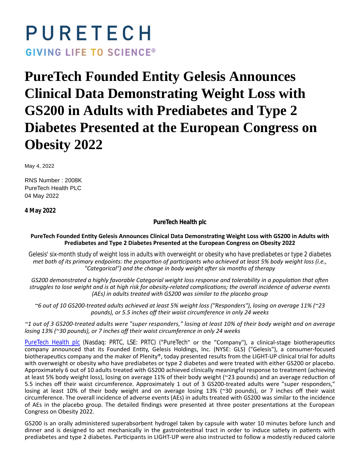# PURETECH **GIVING LIFE TO SCIENCE®**

# **PureTech Founded Entity Gelesis Announces Clinical Data Demonstrating Weight Loss with GS200 in Adults with Prediabetes and Type 2 Diabetes Presented at the European Congress on Obesity 2022**

May 4, 2022

RNS Number : 2008K PureTech Health PLC 04 May 2022

**4 May 2022**

**PureTech Health plc**

# PureTech Founded Entity Gelesis Announces Clinical Data Demonstrating Weight Loss with GS200 in Adults with **Prediabetes and Type 2 Diabetes Presented at the European Congress on Obesity 2022**

*Gelesis' six-month study of weight loss in adults with overweight or obesity who have prediabetes or type 2 diabetes met both of its primary endpoints: the proportion of participants who achieved at least 5% body weight loss (i.e.,* "Categorical") and the change in body weight after six months of therapy

*GS200 demonstrated a highly favorable Categorial weight loss response and tolerability in a population that often* struggles to lose weight and is at high risk for obesity-related complications; the overall incidence of adverse events *(AEs) in adults treated with GS200 was similar to the placebo group*

*~6 out of 10 GS200-treated adults achieved at least 5% weight loss ("Responders"), losing on average 11% (~23 pounds), or 5.5 inches off their waist circumference in only 24 weeks*

*~1 out of 3 GS200-treated adults were "super responders," losing at least 10% of their body weight and on average losing 13% (~30 pounds), or 7 inches off their waist circumference in only 24 weeks*

[PureTech Health plc](https://puretechhealth.com/) (Nasdaq: PRTC, LSE: PRTC) ("PureTech" or the "Company"), a clinical-stage biotherapeutics company announced that its Founded Entity, Gelesis Holdings, Inc. (NYSE: GLS) ("Gelesis"), a consumer-focused biotherapeutics company and the maker of Plenity®, today presented results from the LIGHT-UP clinical trial for adults with overweight or obesity who have prediabetes or type 2 diabetes and were treated with either GS200 or placebo. Approximately 6 out of 10 adults treated with GS200 achieved clinically meaningful response to treatment (achieving at least 5% body weight loss), losing on average 11% of their body weight (~23 pounds) and an average reduction of 5.5 inches off their waist circumference. Approximately 1 out of 3 GS200-treated adults were "super responders," losing at least 10% of their body weight and on average losing 13% (~30 pounds), or 7 inches off their waist circumference. The overall incidence of adverse events (AEs) in adults treated with GS200 was similar to the incidence of AEs in the placebo group. The detailed findings were presented at three poster presentations at the European Congress on Obesity 2022.

GS200 is an orally administered superabsorbent hydrogel taken by capsule with water 10 minutes before lunch and dinner and is designed to act mechanically in the gastrointestinal tract in order to induce satiety in patients with prediabetes and type 2 diabetes. Participants in LIGHT-UP were also instructed to follow a modestly reduced calorie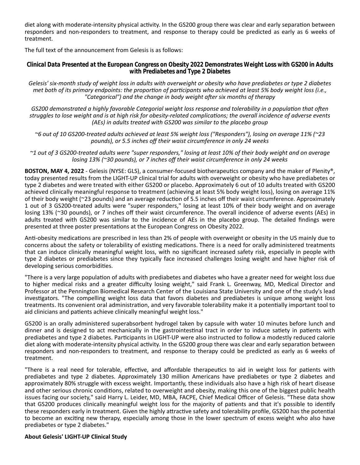diet along with moderate-intensity physical activity. In the GS200 group there was clear and early separation between responders and non-responders to treatment, and response to therapy could be predicted as early as 6 weeks of treatment.

The full text of the announcement from Gelesis is as follows:

*Clinical Data Presented at the European Congress on Obesity 2022 Demonstrates Weight Loss with GS200 in Adults with Prediabetes and Type 2 Diabetes*

*Gelesis' six-month study of weight loss in adults with overweight or obesity who have prediabetes or type 2 diabetes met both of its primary endpoints: the proportion of participants who achieved at least 5% body weight loss (i.e.,* "Categorical") and the change in body weight after six months of therapy

*GS200 demonstrated a highly favorable Categorial weight loss response and tolerability in a population that often struggles to lose weight and is at high risk for obesity-related complicaƟons; the overall incidence of adverse events (AEs) in adults treated with GS200 was similar to the placebo group*

*~6 out of 10 GS200-treated adults achieved at least 5% weight loss ("Responders"), losing on average 11% (~23 pounds), or 5.5 inches off their waist circumference in only 24 weeks*

*~1 out of 3 GS200-treated adults were "super responders," losing at least 10% of their body weight and on average losing 13% (~30 pounds), or 7 inches off their waist circumference in only 24 weeks*

**BOSTON, MAY 4, 2022** - Gelesis (NYSE: GLS), a consumer-focused biotherapeutics company and the maker of Plenity®, today presented results from the LIGHT-UP clinical trial for adults with overweight or obesity who have prediabetes or type 2 diabetes and were treated with either GS200 or placebo. Approximately 6 out of 10 adults treated with GS200 achieved clinically meaningful response to treatment (achieving at least 5% body weight loss), losing on average 11% of their body weight ( $\approx$ 23 pounds) and an average reduction of 5.5 inches off their waist circumference. Approximately 1 out of 3 GS200-treated adults were "super responders," losing at least 10% of their body weight and on average losing 13% (~30 pounds), or 7 inches off their waist circumference. The overall incidence of adverse events (AEs) in adults treated with GS200 was similar to the incidence of AEs in the placebo group. The detailed findings were presented at three poster presentations at the European Congress on Obesity 2022.

Anti-obesity medications are prescribed in less than 2% of people with overweight or obesity in the US mainly due to concerns about the safety or tolerability of existing medications. There is a need for orally administered treatments that can induce clinically meaningful weight loss, with no significant increased safety risk, especially in people with type 2 diabetes or prediabetes since they typically face increased challenges losing weight and have higher risk of developing serious comorbidities.

"There is a very large population of adults with prediabetes and diabetes who have a greater need for weight loss due to higher medical risks and a greater difficulty losing weight," said Frank L. Greenway, MD, Medical Director and Professor at the Pennington Biomedical Research Center of the Louisiana State University and one of the study's lead investigators. "The compelling weight loss data that favors diabetes and prediabetes is unique among weight loss treatments. Its convenient oral administration, and very favorable tolerability make it a potentially important tool to aid clinicians and patients achieve clinically meaningful weight loss."

GS200 is an orally administered superabsorbent hydrogel taken by capsule with water 10 minutes before lunch and dinner and is designed to act mechanically in the gastrointestinal tract in order to induce satiety in patients with prediabetes and type 2 diabetes. Participants in LIGHT-UP were also instructed to follow a modestly reduced calorie diet along with moderate-intensity physical activity. In the GS200 group there was clear and early separation between responders and non-responders to treatment, and response to therapy could be predicted as early as 6 weeks of treatment.

"There is a real need for tolerable, effective, and affordable therapeutics to aid in weight loss for patients with prediabetes and type 2 diabetes. Approximately 130 million Americans have prediabetes or type 2 diabetes and approximately 80% struggle with excess weight. Importantly, these individuals also have a high risk of heart disease and other serious chronic conditions, related to overweight and obesity, making this one of the biggest public health issues facing our society," said Harry L. Leider, MD, MBA, FACPE, Chief Medical Officer of Gelesis. "These data show that GS200 produces clinically meaningful weight loss for the majority of patients and that it's possible to identify these responders early in treatment. Given the highly attractive safety and tolerability profile, GS200 has the potential to become an exciting new therapy, especially among those in the lower spectrum of excess weight who also have prediabetes or type 2 diabetes."

#### **About Gelesis' LIGHT-UP Clinical Study**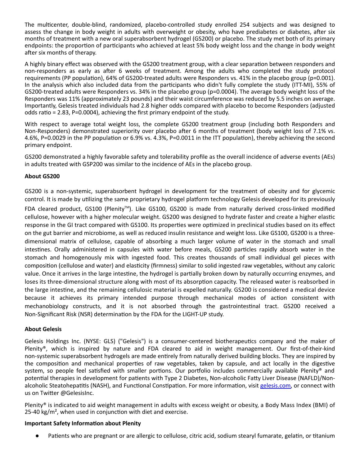The multicenter, double-blind, randomized, placebo-controlled study enrolled 254 subjects and was designed to assess the change in body weight in adults with overweight or obesity, who have prediabetes or diabetes, after six months of treatment with a new oral superabsorbent hydrogel (GS200) or placebo. The study met both of its primary endpoints: the proportion of participants who achieved at least 5% body weight loss and the change in body weight after six months of therapy.

A highly binary effect was observed with the GS200 treatment group, with a clear separation between responders and non-responders as early as after 6 weeks of treatment. Among the adults who completed the study protocol requirements (PP population), 64% of GS200-treated adults were Responders vs. 41% in the placebo group (p=0.001). In the analysis which also included data from the participants who didn't fully complete the study (ITT-MI), 55% of GS200-treated adults were Responders vs. 34% in the placebo group (p=0.0004). The average body weight loss of the Responders was 11% (approximately 23 pounds) and their waist circumference was reduced by 5.5 inches on average. Importantly, Gelesis treated individuals had 2.8 higher odds compared with placebo to become Responders (adjusted odds ratio = 2.83, P=0.0004), achieving the first primary endpoint of the study.

With respect to average total weight loss, the complete GS200 treatment group (including both Responders and Non-Responders) demonstrated superiority over placebo after 6 months of treatment (body weight loss of 7.1% vs. 4.6%, P=0.0029 in the PP population or 6.9% vs. 4.3%, P=0.0011 in the ITT population), thereby achieving the second primary endpoint.

GS200 demonstrated a highly favorable safety and tolerability profile as the overall incidence of adverse events (AEs) in adults treated with GSP200 was similar to the incidence of AEs in the placebo group.

# **About GS200**

GS200 is a non-systemic, superabsorbent hydrogel in development for the treatment of obesity and for glycemic control. It is made by utilizing the same proprietary hydrogel platform technology Gelesis developed for its previously FDA cleared product, GS100 (Plenity™). Like GS100, GS200 is made from naturally derived cross-linked modified cellulose, however with a higher molecular weight. GS200 was designed to hydrate faster and create a higher elastic response in the GI tract compared with GS100. Its properties were optimized in preclinical studies based on its effect on the gut barrier and microbiome, as well as reduced insulin resistance and weight loss. Like GS100, GS200 is a threedimensional matrix of cellulose, capable of absorbing a much larger volume of water in the stomach and small intestines. Orally administered in capsules with water before meals, GS200 particles rapidly absorb water in the stomach and homogenously mix with ingested food. This creates thousands of small individual gel pieces with composition (cellulose and water) and elasticity (firmness) similar to solid ingested raw vegetables, without any caloric value. Once it arrives in the large intestine, the hydrogel is partially broken down by naturally occurring enzymes, and loses its three-dimensional structure along with most of its absorption capacity. The released water is reabsorbed in the large intestine, and the remaining cellulosic material is expelled naturally. GS200 is considered a medical device because it achieves its primary intended purpose through mechanical modes of action consistent with mechanobiology constructs, and it is not absorbed through the gastrointestinal tract. GS200 received a Non-Significant Risk (NSR) determination by the FDA for the LIGHT-UP study.

# **About Gelesis**

Gelesis Holdings Inc. (NYSE: GLS) ("Gelesis") is a consumer-centered biotherapeutics company and the maker of Plenity®, which is inspired by nature and FDA cleared to aid in weight management. Our first-of-their-kind non-systemic superabsorbent hydrogels are made entirely from naturally derived building blocks. They are inspired by the composition and mechanical properties of raw vegetables, taken by capsule, and act locally in the digestive system, so people feel satisfied with smaller portions. Our portfolio includes commercially available Plenity® and potential therapies in development for patients with Type 2 Diabetes, Non-alcoholic Fatty Liver Disease (NAFLD)/Nonalcoholic Steatohepatitis (NASH), and Functional Constipation. For more information, visit [gelesis.com,](https://www.gelesis.com/) or connect with us on Twitter @GelesisInc.

Plenity® is indicated to aid weight management in adults with excess weight or obesity, a Body Mass Index (BMI) of 25-40 kg/ $m<sup>2</sup>$ , when used in conjunction with diet and exercise.

# **Important Safety Information about Plenity**

Patients who are pregnant or are allergic to cellulose, citric acid, sodium stearyl fumarate, gelatin, or titanium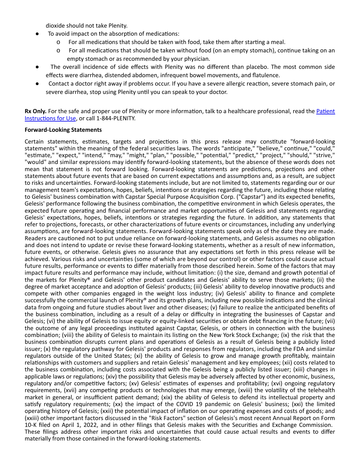dioxide should not take Plenity.

- To avoid impact on the absorption of medications:
	- For all medications that should be taken with food, take them after starting a meal.
	- $\circ$  For all medications that should be taken without food (on an empty stomach), continue taking on an empty stomach or as recommended by your physician.
- The overall incidence of side effects with Plenity was no different than placebo. The most common side effects were diarrhea, distended abdomen, infrequent bowel movements, and flatulence.
- Contact a doctor right away if problems occur. If you have a severe allergic reaction, severe stomach pain, or severe diarrhea, stop using Plenity until you can speak to your doctor.

Rx Only. For the safe and proper use of Plenity or more information, talk to a healthcare professional, read the Patient Instructions for Use, or call 1-844-PLENITY.

#### **Forward-Looking Statements**

Certain statements, estimates, targets and projections in this press release may constitute "forward-looking statements" within the meaning of the federal securities laws. The words "anticipate," "believe," continue," "could," "estimate," "expect," "intend," "may," "might," "plan," "possible," "potential," "predict," "project," "should," "strive," "would" and similar expressions may identify forward-looking statements, but the absence of these words does not mean that statement is not forward looking. Forward-looking statements are predictions, projections and other statements about future events that are based on current expectations and assumptions and, as a result, are subject to risks and uncertainties. Forward-looking statements include, but are not limited to, statements regarding our or our management team's expectations, hopes, beliefs, intentions or strategies regarding the future, including those relating to Gelesis' business combination with Capstar Special Purpose Acquisition Corp. ("Capstar") and its expected benefits, Gelesis' performance following the business combination, the competitive environment in which Gelesis operates, the expected future operating and financial performance and market opportunities of Gelesis and statements regarding Gelesis' expectations, hopes, beliefs, intentions or strategies regarding the future. In addition, any statements that refer to projections, forecasts, or other characterizations of future events or circumstances, including any underlying assumptions, are forward-looking statements. Forward-looking statements speak only as of the date they are made. Readers are cautioned not to put undue reliance on forward-looking statements, and Gelesis assumes no obligation and does not intend to update or revise these forward-looking statements, whether as a result of new information, future events, or otherwise. Gelesis gives no assurance that any expectations set forth in this press release will be achieved. Various risks and uncertainties (some of which are beyond our control) or other factors could cause actual future results, performance or events to differ materially from those described herein. Some of the factors that may impact future results and performance may include, without limitation: (i) the size, demand and growth potential of the markets for Plenity® and Gelesis' other product candidates and Gelesis' ability to serve those markets; (ii) the degree of market acceptance and adoption of Gelesis' products; (iii) Gelesis' ability to develop innovative products and compete with other companies engaged in the weight loss industry; (iv) Gelesis' ability to finance and complete successfully the commercial launch of Plenity® and its growth plans, including new possible indications and the clinical data from ongoing and future studies about liver and other diseases; (v) failure to realize the anticipated benefits of the business combination, including as a result of a delay or difficulty in integrating the businesses of Capstar and Gelesis; (vi) the ability of Gelesis to issue equity or equity-linked securities or obtain debt financing in the future; (vii) the outcome of any legal proceedings instituted against Capstar, Gelesis, or others in connection with the business combination; (viii) the ability of Gelesis to maintain its listing on the New York Stock Exchange; (ix) the risk that the business combination disrupts current plans and operations of Gelesis as a result of Gelesis being a publicly listed issuer; (x) the regulatory pathway for Gelesis' products and responses from regulators, including the FDA and similar regulators outside of the United States; (xi) the ability of Gelesis to grow and manage growth profitably, maintain relationships with customers and suppliers and retain Gelesis' management and key employees; (xii) costs related to the business combination, including costs associated with the Gelesis being a publicly listed issuer; (xiii) changes in applicable laws or regulations; (xiv) the possibility that Gelesis may be adversely affected by other economic, business, regulatory and/or competitive factors; (xv) Gelesis' estimates of expenses and profitability; (xvi) ongoing regulatory requirements, (xvii) any competing products or technologies that may emerge, (xviii) the volatility of the telehealth market in general, or insufficient patient demand; (xix) the ability of Gelesis to defend its intellectual property and satisfy regulatory requirements; (xx) the impact of the COVID 19 pandemic on Gelesis' business; (xxi) the limited operating history of Gelesis; (xxii) the potential impact of inflation on our operating expenses and costs of goods; and (xxiii) other important factors discussed in the "Risk Factors" section of Gelesis's most recent Annual Report on Form 10-K filed on April 1, 2022, and in other filings that Gelesis makes with the Securities and Exchange Commission. These filings address other important risks and uncertainties that could cause actual results and events to differ materially from those contained in the forward-looking statements.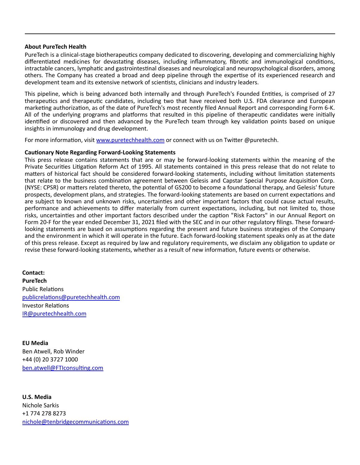#### **About PureTech Health**

PureTech is a clinical-stage biotherapeutics company dedicated to discovering, developing and commercializing highly differentiated medicines for devastating diseases, including inflammatory, fibrotic and immunological conditions, intractable cancers, lymphatic and gastrointestinal diseases and neurological and neuropsychological disorders, among others. The Company has created a broad and deep pipeline through the expertise of its experienced research and development team and its extensive network of scientists, clinicians and industry leaders.

This pipeline, which is being advanced both internally and through PureTech's Founded Entities, is comprised of 27 therapeutics and therapeutic candidates, including two that have received both U.S. FDA clearance and European marketing authorization, as of the date of PureTech's most recently filed Annual Report and corresponding Form 6-K. All of the underlying programs and platforms that resulted in this pipeline of therapeutic candidates were initially identified or discovered and then advanced by the PureTech team through key validation points based on unique insights in immunology and drug development.

For more information, visit [www.puretechhealth.com o](http://www.puretechhealth.com/)r connect with us on Twitter @puretechh.

#### **CauƟonary Note Regarding Forward-Looking Statements**

This press release contains statements that are or may be forward-looking statements within the meaning of the Private Securities Litigation Reform Act of 1995. All statements contained in this press release that do not relate to matters of historical fact should be considered forward-looking statements, including without limitation statements that relate to the business combination agreement between Gelesis and Capstar Special Purpose Acquisition Corp. (NYSE: CPSR) or matters related thereto, the potential of GS200 to become a foundational therapy, and Gelesis' future prospects, development plans, and strategies. The forward-looking statements are based on current expectations and are subject to known and unknown risks, uncertainties and other important factors that could cause actual results, performance and achievements to differ materially from current expectations, including, but not limited to, those risks, uncertainties and other important factors described under the caption "Risk Factors" in our Annual Report on Form 20-F for the year ended December 31, 2021 filed with the SEC and in our other regulatory filings. These forwardlooking statements are based on assumptions regarding the present and future business strategies of the Company and the environment in which it will operate in the future. Each forward-looking statement speaks only as at the date of this press release. Except as required by law and regulatory requirements, we disclaim any obligation to update or revise these forward-looking statements, whether as a result of new information, future events or otherwise.

**Contact: PureTech** Public Relations [publicrelaƟons@puretechhealth.com](mailto:publicrelations@puretechhealth.com) Investor RelaƟons [IR@puretechhealth.com](mailto:IR@puretechhealth.com)

**EU Media** Ben Atwell, Rob Winder +44 (0) 20 3727 1000 ben.atwell@FTIconsulting.com

**U.S. Media** Nichole Sarkis +1 774 278 8273 nichole@tenbridgecommunications.com